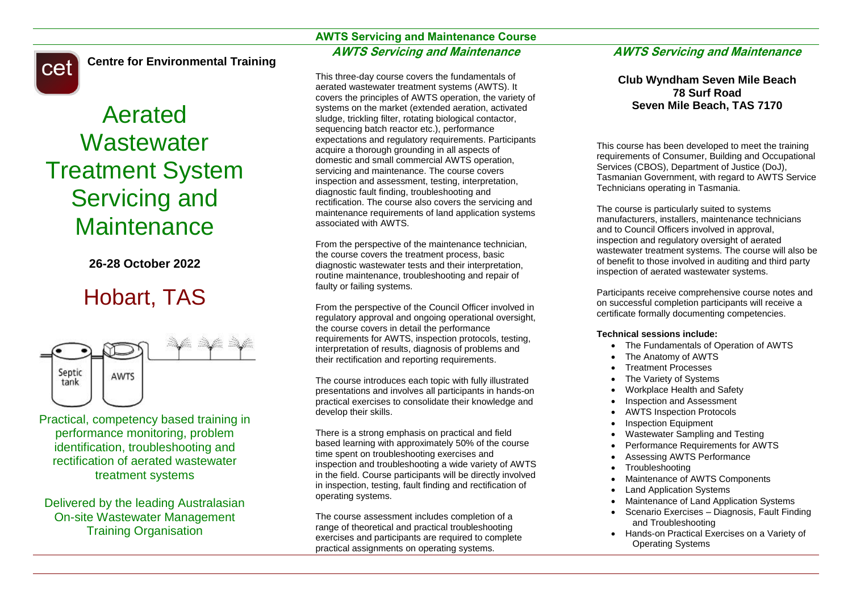cet

**Centre for Environmental Training**

# Aerated **Wastewater** Treatment System Servicing and **Maintenance**

## **26-28 October 2022**

# Hobart, TAS



Practical, competency based training in performance monitoring, problem identification, troubleshooting and rectification of aerated wastewater treatment systems

Delivered by the leading Australasian On-site Wastewater Management Training Organisation

# **AWTS Servicing and Maintenance Course AWTS Servicing and Maintenance**

This three-day course covers the fundamentals of aerated wastewater treatment systems (AWTS). It covers the principles of AWTS operation, the variety of systems on the market (extended aeration, activated sludge, trickling filter, rotating biological contactor, sequencing batch reactor etc.), performance expectations and regulatory requirements. Participants acquire a thorough grounding in all aspects of domestic and small commercial AWTS operation, servicing and maintenance. The course covers inspection and assessment, testing, interpretation, diagnostic fault finding, troubleshooting and rectification. The course also covers the servicing and maintenance requirements of land application systems associated with AWTS.

From the perspective of the maintenance technician, the course covers the treatment process, basic diagnostic wastewater tests and their interpretation, routine maintenance, troubleshooting and repair of faulty or failing systems.

From the perspective of the Council Officer involved in regulatory approval and ongoing operational oversight, the course covers in detail the performance requirements for AWTS, inspection protocols, testing, interpretation of results, diagnosis of problems and their rectification and reporting requirements.

The course introduces each topic with fully illustrated presentations and involves all participants in hands-on practical exercises to consolidate their knowledge and develop their skills.

There is a strong emphasis on practical and field based learning with approximately 50% of the course time spent on troubleshooting exercises and inspection and troubleshooting a wide variety of AWTS in the field. Course participants will be directly involved in inspection, testing, fault finding and rectification of operating systems.

The course assessment includes completion of a range of theoretical and practical troubleshooting exercises and participants are required to complete practical assignments on operating systems.

## **AWTS Servicing and Maintenance**

## **Club Wyndham Seven Mile Beach 78 Surf Road Seven Mile Beach, TAS 7170**

This course has been developed to meet the training requirements of Consumer, Building and Occupational Services (CBOS), Department of Justice (DoJ), Tasmanian Government, with regard to AWTS Service Technicians operating in Tasmania.

The course is particularly suited to systems manufacturers, installers, maintenance technicians and to Council Officers involved in approval, inspection and regulatory oversight of aerated wastewater treatment systems. The course will also be of benefit to those involved in auditing and third party inspection of aerated wastewater systems.

Participants receive comprehensive course notes and on successful completion participants will receive a certificate formally documenting competencies.

## **Technical sessions include:**

- The Fundamentals of Operation of AWTS
- The Anatomy of AWTS
- Treatment Processes
- The Variety of Systems
- Workplace Health and Safety
- Inspection and Assessment
- AWTS Inspection Protocols
- Inspection Equipment
- Wastewater Sampling and Testing
- Performance Requirements for AWTS
- Assessing AWTS Performance
- **Troubleshooting**
- Maintenance of AWTS Components
- Land Application Systems
- Maintenance of Land Application Systems
- Scenario Exercises Diagnosis, Fault Finding and Troubleshooting
- Hands-on Practical Exercises on a Variety of Operating Systems